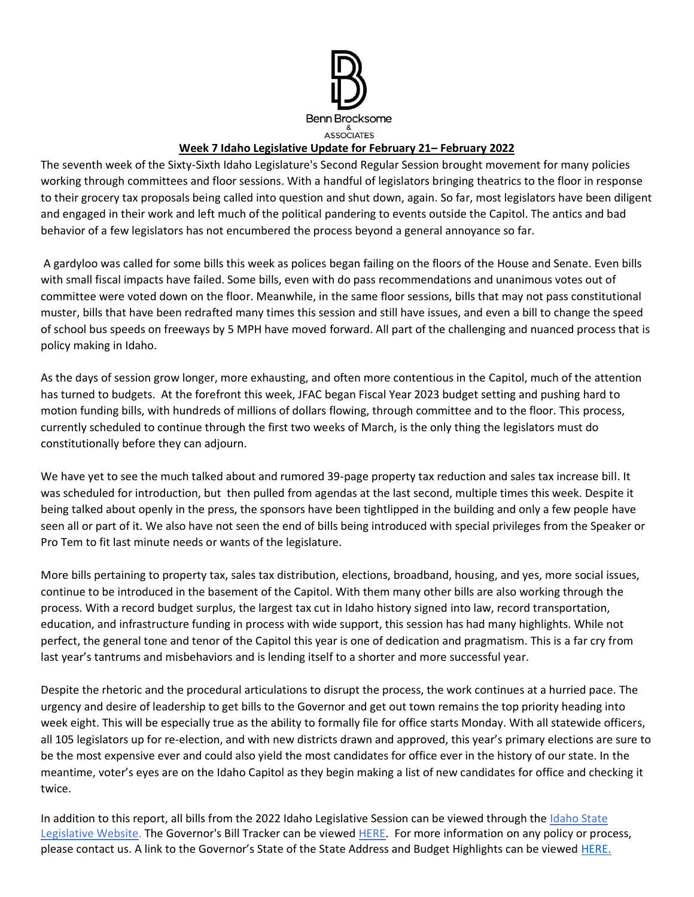

## **Week 7 Idaho Legislative Update for February 21– February 2022**

The seventh week of the Sixty-Sixth Idaho Legislature's Second Regular Session brought movement for many policies working through committees and floor sessions. With a handful of legislators bringing theatrics to the floor in response to their grocery tax proposals being called into question and shut down, again. So far, most legislators have been diligent and engaged in their work and left much of the political pandering to events outside the Capitol. The antics and bad behavior of a few legislators has not encumbered the process beyond a general annoyance so far.

A gardyloo was called for some bills this week as polices began failing on the floors of the House and Senate. Even bills with small fiscal impacts have failed. Some bills, even with do pass recommendations and unanimous votes out of committee were voted down on the floor. Meanwhile, in the same floor sessions, bills that may not pass constitutional muster, bills that have been redrafted many times this session and still have issues, and even a bill to change the speed of school bus speeds on freeways by 5 MPH have moved forward. All part of the challenging and nuanced process that is policy making in Idaho.

As the days of session grow longer, more exhausting, and often more contentious in the Capitol, much of the attention has turned to budgets. At the forefront this week, JFAC began Fiscal Year 2023 budget setting and pushing hard to motion funding bills, with hundreds of millions of dollars flowing, through committee and to the floor. This process, currently scheduled to continue through the first two weeks of March, is the only thing the legislators must do constitutionally before they can adjourn.

We have yet to see the much talked about and rumored 39-page property tax reduction and sales tax increase bill. It was scheduled for introduction, but then pulled from agendas at the last second, multiple times this week. Despite it being talked about openly in the press, the sponsors have been tightlipped in the building and only a few people have seen all or part of it. We also have not seen the end of bills being introduced with special privileges from the Speaker or Pro Tem to fit last minute needs or wants of the legislature.

More bills pertaining to property tax, sales tax distribution, elections, broadband, housing, and yes, more social issues, continue to be introduced in the basement of the Capitol. With them many other bills are also working through the process. With a record budget surplus, the largest tax cut in Idaho history signed into law, record transportation, education, and infrastructure funding in process with wide support, this session has had many highlights. While not perfect, the general tone and tenor of the Capitol this year is one of dedication and pragmatism. This is a far cry from last year's tantrums and misbehaviors and is lending itself to a shorter and more successful year.

Despite the rhetoric and the procedural articulations to disrupt the process, the work continues at a hurried pace. The urgency and desire of leadership to get bills to the Governor and get out town remains the top priority heading into week eight. This will be especially true as the ability to formally file for office starts Monday. With all statewide officers, all 105 legislators up for re-election, and with new districts drawn and approved, this year's primary elections are sure to be the most expensive ever and could also yield the most candidates for office ever in the history of our state. In the meantime, voter's eyes are on the Idaho Capitol as they begin making a list of new candidates for office and checking it twice.

In addition to this report, all bills from the 2022 Idaho Legislative Session can be viewed through the [Idaho State](https://legislature.idaho.gov/sessioninfo/)  [Legislative Website.](https://legislature.idaho.gov/sessioninfo/) The Governor's Bill Tracker can be viewed [HERE.](https://gov.idaho.gov/legislative-sessions/2022-legislative-session/) For more information on any policy or process, please contact us. A link to the Governor's State of the State Address and Budget Highlights can be viewed [HERE.](https://gov.idaho.gov/pressrelease/gov-little-highlights-plan-for-education-investments-tax-relief-in-2022-state-of-the-state-and-budget-address/)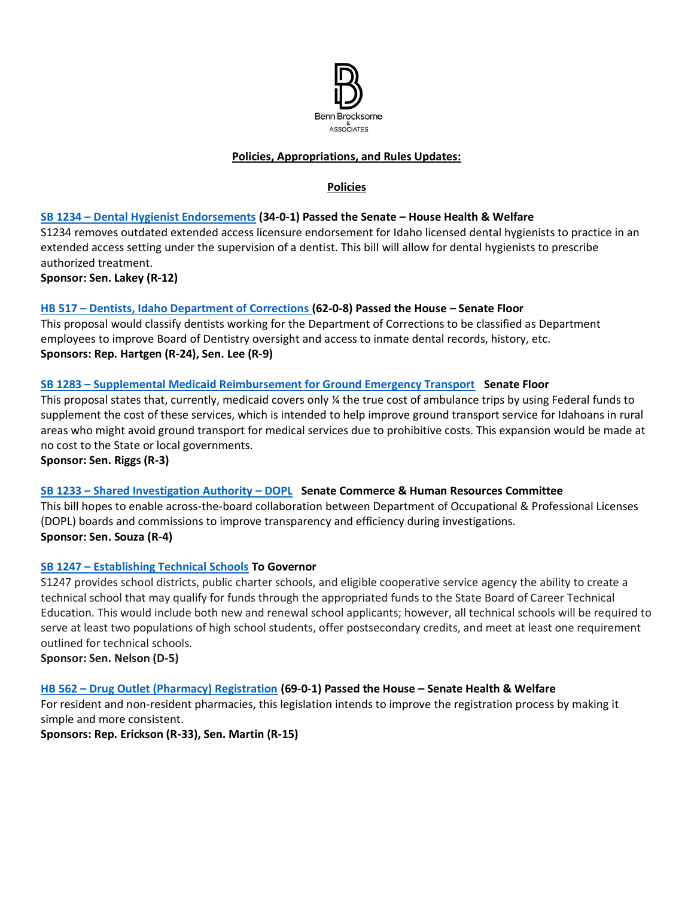

## **Policies, Appropriations, and Rules Updates:**

## **Policies**

### **SB 1234 – [Dental Hygienist Endorsements](https://legislature.idaho.gov/sessioninfo/2022/legislation/S1234/) (34-0-1) Passed the Senate – House Health & Welfare**

S1234 removes outdated extended access licensure endorsement for Idaho licensed dental hygienists to practice in an extended access setting under the supervision of a dentist. This bill will allow for dental hygienists to prescribe authorized treatment.

**Sponsor: Sen. Lakey (R-12)**

### **HB 517 – [Dentists, Idaho Department of Corrections](https://legislature.idaho.gov/sessioninfo/2022/legislation/H0517/) (62-0-8) Passed the House – Senate Floor**

This proposal would classify dentists working for the Department of Corrections to be classified as Department employees to improve Board of Dentistry oversight and access to inmate dental records, history, etc. **Sponsors: Rep. Hartgen (R-24), Sen. Lee (R-9)** 

### **SB 1283 – [Supplemental Medicaid Reimbursement for Ground Emergency Transport](https://legislature.idaho.gov/sessioninfo/2022/legislation/S1283/) Senate Floor**

This proposal states that, currently, medicaid covers only ¼ the true cost of ambulance trips by using Federal funds to supplement the cost of these services, which is intended to help improve ground transport service for Idahoans in rural areas who might avoid ground transport for medical services due to prohibitive costs. This expansion would be made at no cost to the State or local governments.

**Sponsor: Sen. Riggs (R-3)**

#### **SB 1233 – [Shared Investigation Authority](https://legislature.idaho.gov/sessioninfo/2022/legislation/S1233/) – DOPL Senate Commerce & Human Resources Committee**

This bill hopes to enable across-the-board collaboration between Department of Occupational & Professional Licenses (DOPL) boards and commissions to improve transparency and efficiency during investigations. **Sponsor: Sen. Souza (R-4)** 

#### **SB 1247 – [Establishing Technical Schools](https://legislature.idaho.gov/sessioninfo/2022/legislation/S1247/) To Governor**

S1247 provides school districts, public charter schools, and eligible cooperative service agency the ability to create a technical school that may qualify for funds through the appropriated funds to the State Board of Career Technical Education. This would include both new and renewal school applicants; however, all technical schools will be required to serve at least two populations of high school students, offer postsecondary credits, and meet at least one requirement outlined for technical schools.

**Sponsor: Sen. Nelson (D-5)**

#### **HB 562 – [Drug Outlet \(Pharmacy\) Registration](https://legislature.idaho.gov/sessioninfo/2022/legislation/H0562) (69-0-1) Passed the House – Senate Health & Welfare**

For resident and non-resident pharmacies, this legislation intends to improve the registration process by making it simple and more consistent.

**Sponsors: Rep. Erickson (R-33), Sen. Martin (R-15)**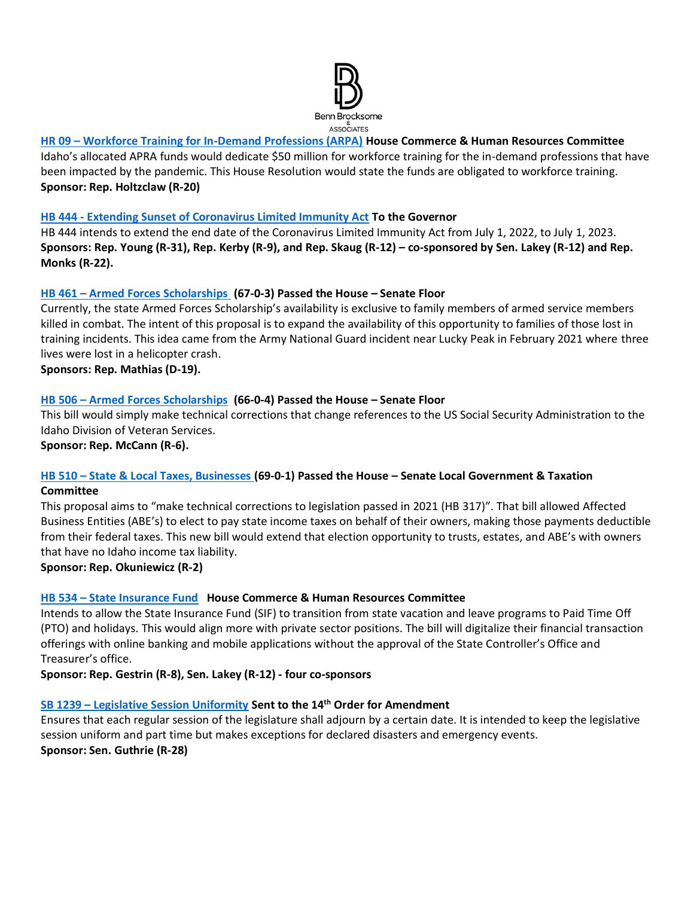

# **HR 09 – [Workforce Training for In-Demand Professions \(ARPA\)](https://legislature.idaho.gov/sessioninfo/2022/legislation/HR009/) House Commerce & Human Resources Committee**

Idaho's allocated APRA funds would dedicate \$50 million for workforce training for the in-demand professions that have been impacted by the pandemic. This House Resolution would state the funds are obligated to workforce training. **Sponsor: Rep. Holtzclaw (R-20)**

#### **HB 444 - [Extending Sunset of Coronavirus Limited Immunity Act](https://legislature.idaho.gov/sessioninfo/2022/legislation/H0444/) To the Governor**

HB 444 intends to extend the end date of the Coronavirus Limited Immunity Act from July 1, 2022, to July 1, 2023. **Sponsors: Rep. Young (R-31), Rep. Kerby (R-9), and Rep. Skaug (R-12) – co-sponsored by Sen. Lakey (R-12) and Rep. Monks (R-22).**

### **HB 461 – [Armed Forces Scholarships](https://legislature.idaho.gov/sessioninfo/2022/legislation/H0461) (67-0-3) Passed the House – Senate Floor**

Currently, the state Armed Forces Scholarship's availability is exclusive to family members of armed service members killed in combat. The intent of this proposal is to expand the availability of this opportunity to families of those lost in training incidents. This idea came from the Army National Guard incident near Lucky Peak in February 2021 where three lives were lost in a helicopter crash.

**Sponsors: Rep. Mathias (D-19).**

### **HB 506 – [Armed Forces Scholarships](https://legislature.idaho.gov/sessioninfo/2022/legislation/H0506/) (66-0-4) Passed the House – Senate Floor**

This bill would simply make technical corrections that change references to the US Social Security Administration to the Idaho Division of Veteran Services.

**Sponsor: Rep. McCann (R-6).** 

## **HB 510 – [State & Local Taxes, Businesses](https://legislature.idaho.gov/sessioninfo/2022/legislation/H0510/) (69-0-1) Passed the House – Senate Local Government & Taxation Committee**

This proposal aims to "make technical corrections to legislation passed in 2021 (HB 317)". That bill allowed Affected Business Entities (ABE's) to elect to pay state income taxes on behalf of their owners, making those payments deductible from their federal taxes. This new bill would extend that election opportunity to trusts, estates, and ABE's with owners that have no Idaho income tax liability.

**Sponsor: Rep. Okuniewicz (R-2)**

## **HB 534 – [State Insurance Fund](https://legislature.idaho.gov/sessioninfo/2022/legislation/H0534/) House Commerce & Human Resources Committee**

Intends to allow the State Insurance Fund (SIF) to transition from state vacation and leave programs to Paid Time Off (PTO) and holidays. This would align more with private sector positions. The bill will digitalize their financial transaction offerings with online banking and mobile applications without the approval of the State Controller's Office and Treasurer's office.

**Sponsor: Rep. Gestrin (R-8), Sen. Lakey (R-12) - four co-sponsors**

#### **SB 1239 – [Legislative Session Uniformity](https://legislature.idaho.gov/sessioninfo/2022/legislation/S1239/) Sent to the 14th Order for Amendment**

Ensures that each regular session of the legislature shall adjourn by a certain date. It is intended to keep the legislative session uniform and part time but makes exceptions for declared disasters and emergency events. **Sponsor: Sen. Guthrie (R-28)**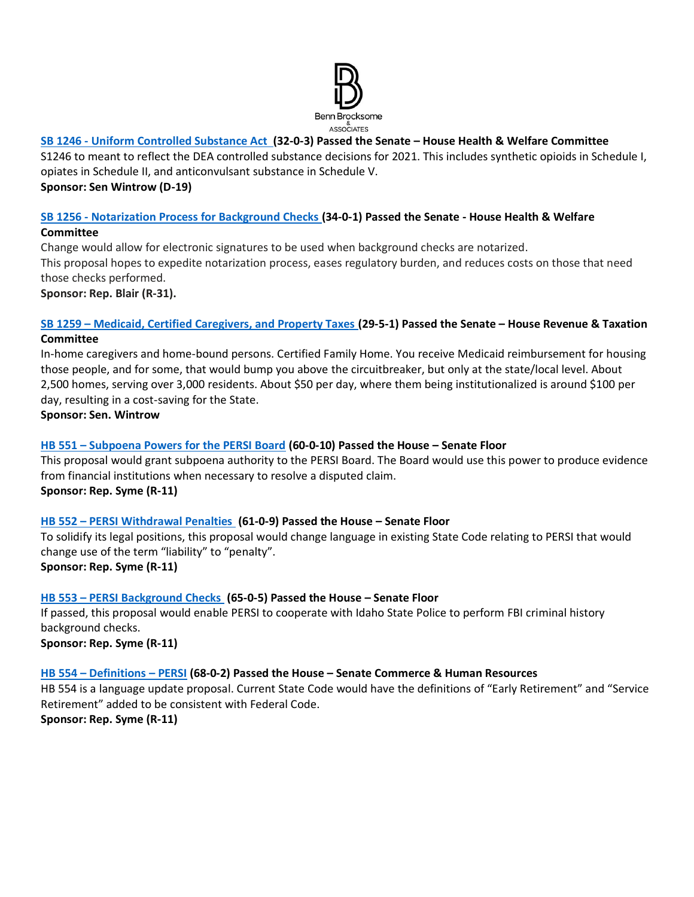

## **SB 1246 - [Uniform Controlled Substance Act](https://legislature.idaho.gov/sessioninfo/2022/legislation/S1246/) (32-0-3) Passed the Senate – House Health & Welfare Committee**

S1246 to meant to reflect the DEA controlled substance decisions for 2021. This includes synthetic opioids in Schedule I, opiates in Schedule II, and anticonvulsant substance in Schedule V. **Sponsor: Sen Wintrow (D-19)** 

#### **SB 1256 - [Notarization Process for Background Checks](https://legislature.idaho.gov/sessioninfo/2022/legislation/S1256/) (34-0-1) Passed the Senate - House Health & Welfare Committee**

Change would allow for electronic signatures to be used when background checks are notarized. This proposal hopes to expedite notarization process, eases regulatory burden, and reduces costs on those that need those checks performed. **Sponsor: Rep. Blair (R-31).** 

#### **SB 1259 – [Medicaid, Certified Caregivers, and Property Taxes](https://legislature.idaho.gov/sessioninfo/2022/legislation/S1259/) (29-5-1) Passed the Senate – House Revenue & Taxation Committee**

In-home caregivers and home-bound persons. Certified Family Home. You receive Medicaid reimbursement for housing those people, and for some, that would bump you above the circuitbreaker, but only at the state/local level. About 2,500 homes, serving over 3,000 residents. About \$50 per day, where them being institutionalized is around \$100 per day, resulting in a cost-saving for the State.

**Sponsor: Sen. Wintrow**

# **HB 551 – [Subpoena Powers for the PERSI Board](https://legislature.idaho.gov/sessioninfo/2022/legislation/H0551) (60-0-10) Passed the House – Senate Floor**

This proposal would grant subpoena authority to the PERSI Board. The Board would use this power to produce evidence from financial institutions when necessary to resolve a disputed claim. **Sponsor: Rep. Syme (R-11)**

## **HB 552 – [PERSI Withdrawal Penalties](https://legislature.idaho.gov/sessioninfo/2022/legislation/H0552) (61-0-9) Passed the House – Senate Floor**

To solidify its legal positions, this proposal would change language in existing State Code relating to PERSI that would change use of the term "liability" to "penalty". **Sponsor: Rep. Syme (R-11)**

## **HB 553 – [PERSI Background Checks](https://legislature.idaho.gov/sessioninfo/2022/legislation/H0553) (65-0-5) Passed the House – Senate Floor**

If passed, this proposal would enable PERSI to cooperate with Idaho State Police to perform FBI criminal history background checks.

**Sponsor: Rep. Syme (R-11)**

## **HB 554 – [Definitions](https://legislature.idaho.gov/sessioninfo/2022/legislation/H0554) – PERSI (68-0-2) Passed the House – Senate Commerce & Human Resources**

HB 554 is a language update proposal. Current State Code would have the definitions of "Early Retirement" and "Service Retirement" added to be consistent with Federal Code.

**Sponsor: Rep. Syme (R-11)**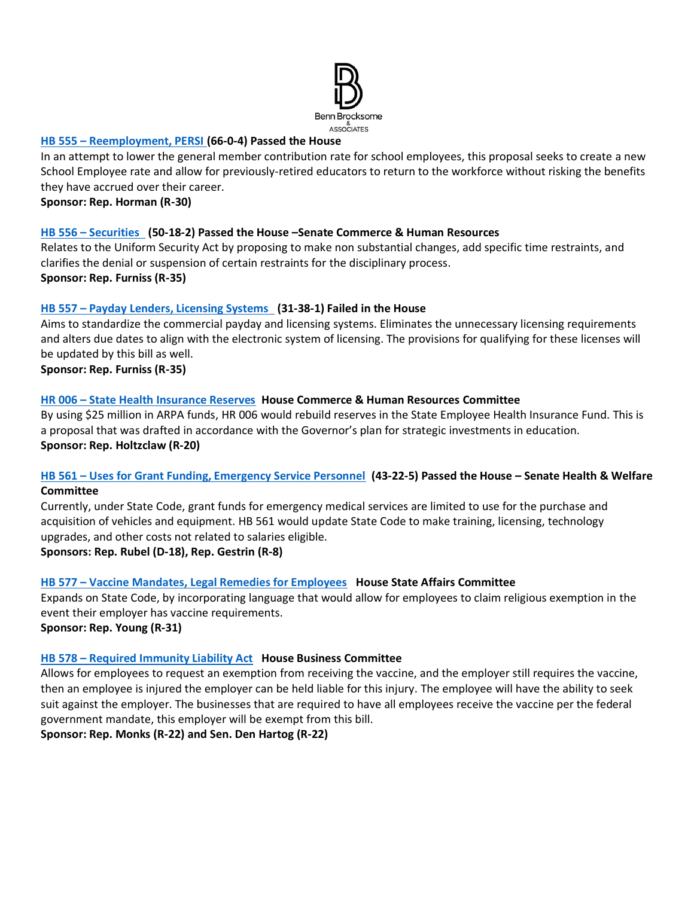

#### **HB 555 – [Reemployment, PERSI](https://legislature.idaho.gov/sessioninfo/2022/legislation/H0555) (66-0-4) Passed the House**

In an attempt to lower the general member contribution rate for school employees, this proposal seeks to create a new School Employee rate and allow for previously-retired educators to return to the workforce without risking the benefits they have accrued over their career.

**Sponsor: Rep. Horman (R-30)**

### **HB 556 – [Securities](https://legislature.idaho.gov/sessioninfo/2022/legislation/H0556) (50-18-2) Passed the House –Senate Commerce & Human Resources**

Relates to the Uniform Security Act by proposing to make non substantial changes, add specific time restraints, and clarifies the denial or suspension of certain restraints for the disciplinary process. **Sponsor: Rep. Furniss (R-35)**

## **HB 557 – [Payday Lenders, Licensing Systems](https://legislature.idaho.gov/sessioninfo/2022/legislation/H0557) (31-38-1) Failed in the House**

Aims to standardize the commercial payday and licensing systems. Eliminates the unnecessary licensing requirements and alters due dates to align with the electronic system of licensing. The provisions for qualifying for these licenses will be updated by this bill as well.

**Sponsor: Rep. Furniss (R-35)**

### **HR 006 – [State Health Insurance Reserves](https://legislature.idaho.gov/sessioninfo/2022/legislation/HR006/) House Commerce & Human Resources Committee**

By using \$25 million in ARPA funds, HR 006 would rebuild reserves in the State Employee Health Insurance Fund. This is a proposal that was drafted in accordance with the Governor's plan for strategic investments in education. **Sponsor: Rep. Holtzclaw (R-20)**

### **HB 561 – [Uses for Grant Funding, Emergency Service Personnel](https://legislature.idaho.gov/sessioninfo/2022/legislation/H0561) (43-22-5) Passed the House – Senate Health & Welfare Committee**

Currently, under State Code, grant funds for emergency medical services are limited to use for the purchase and acquisition of vehicles and equipment. HB 561 would update State Code to make training, licensing, technology upgrades, and other costs not related to salaries eligible.

**Sponsors: Rep. Rubel (D-18), Rep. Gestrin (R-8)**

## **HB 577 – [Vaccine Mandates, Legal Remedies for Employees](https://legislature.idaho.gov/sessioninfo/2022/legislation/H0577) House State Affairs Committee**

Expands on State Code, by incorporating language that would allow for employees to claim religious exemption in the event their employer has vaccine requirements.

**Sponsor: Rep. Young (R-31)**

#### **HB 578 – [Required Immunity Liability Act](https://legislature.idaho.gov/sessioninfo/2022/legislation/H0578) House Business Committee**

Allows for employees to request an exemption from receiving the vaccine, and the employer still requires the vaccine, then an employee is injured the employer can be held liable for this injury. The employee will have the ability to seek suit against the employer. The businesses that are required to have all employees receive the vaccine per the federal government mandate, this employer will be exempt from this bill.

**Sponsor: Rep. Monks (R-22) and Sen. Den Hartog (R-22)**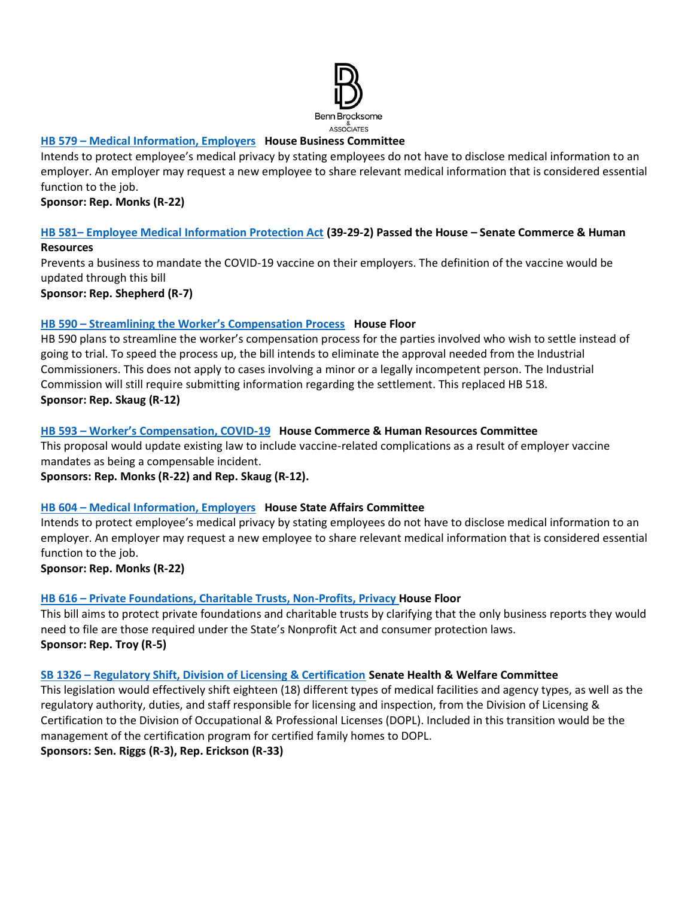

### **HB 579 – [Medical Information, Employers](https://legislature.idaho.gov/sessioninfo/2022/legislation/H0579/) House Business Committee**

Intends to protect employee's medical privacy by stating employees do not have to disclose medical information to an employer. An employer may request a new employee to share relevant medical information that is considered essential function to the job.

**Sponsor: Rep. Monks (R-22)**

### **HB 581– [Employee Medical Information Protection Act](https://legislature.idaho.gov/sessioninfo/2022/legislation/H0581) (39-29-2) Passed the House – Senate Commerce & Human Resources**

Prevents a business to mandate the COVID-19 vaccine on their employers. The definition of the vaccine would be updated through this bill

**Sponsor: Rep. Shepherd (R-7)**

### **HB 590 – [Streamlining the Worker's Compensation Process](https://legislature.idaho.gov/sessioninfo/2022/legislation/H0590) House Floor**

HB 590 plans to streamline the worker's compensation process for the parties involved who wish to settle instead of going to trial. To speed the process up, the bill intends to eliminate the approval needed from the Industrial Commissioners. This does not apply to cases involving a minor or a legally incompetent person. The Industrial Commission will still require submitting information regarding the settlement. This replaced HB 518. **Sponsor: Rep. Skaug (R-12)**

### **HB 593 – [Worker's Compensation, COVID](https://legislature.idaho.gov/sessioninfo/2022/legislation/H0593/)-19 House Commerce & Human Resources Committee**

This proposal would update existing law to include vaccine-related complications as a result of employer vaccine mandates as being a compensable incident.

**Sponsors: Rep. Monks (R-22) and Rep. Skaug (R-12).** 

## **HB 604 – [Medical Information, Employers](https://legislature.idaho.gov/sessioninfo/2022/legislation/H0604/) House State Affairs Committee**

Intends to protect employee's medical privacy by stating employees do not have to disclose medical information to an employer. An employer may request a new employee to share relevant medical information that is considered essential function to the job.

**Sponsor: Rep. Monks (R-22)**

## **HB 616 – [Private Foundations, Charitable Trusts, Non-Profits, Privacy](https://legislature.idaho.gov/sessioninfo/2022/legislation/H0616/) House Floor**

This bill aims to protect private foundations and charitable trusts by clarifying that the only business reports they would need to file are those required under the State's Nonprofit Act and consumer protection laws. **Sponsor: Rep. Troy (R-5)**

#### **SB 1326 – [Regulatory Shift, Division of Licensing & Certification](https://legislature.idaho.gov/sessioninfo/2022/legislation/S1326/) Senate Health & Welfare Committee**

This legislation would effectively shift eighteen (18) different types of medical facilities and agency types, as well as the regulatory authority, duties, and staff responsible for licensing and inspection, from the Division of Licensing & Certification to the Division of Occupational & Professional Licenses (DOPL). Included in this transition would be the management of the certification program for certified family homes to DOPL. **Sponsors: Sen. Riggs (R-3), Rep. Erickson (R-33)**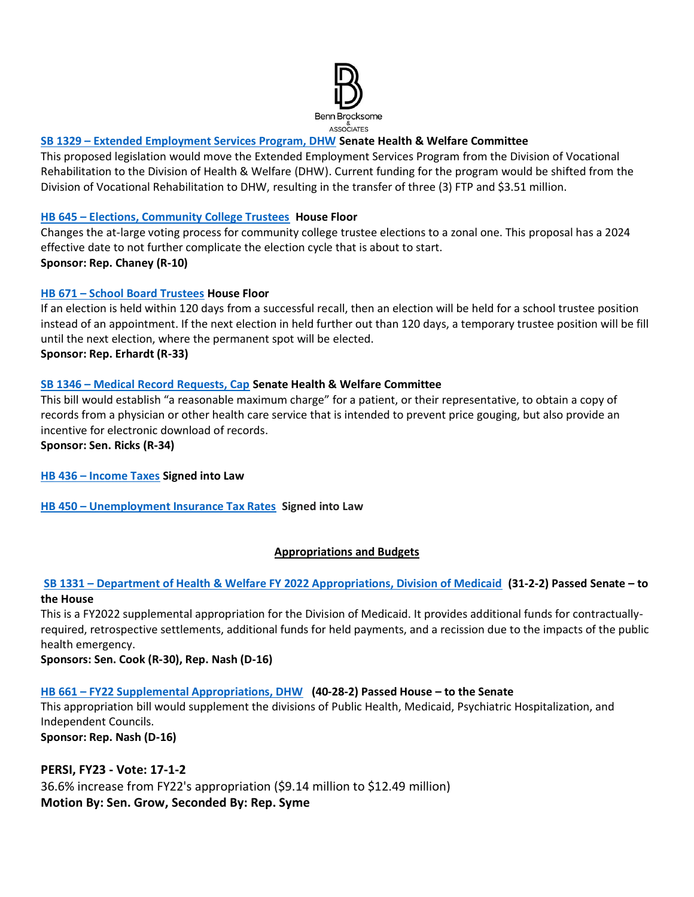

## **SB 1329 – [Extended Employment Services Program, DHW](https://legislature.idaho.gov/sessioninfo/2022/legislation/S1329/) Senate Health & Welfare Committee**

This proposed legislation would move the Extended Employment Services Program from the Division of Vocational Rehabilitation to the Division of Health & Welfare (DHW). Current funding for the program would be shifted from the Division of Vocational Rehabilitation to DHW, resulting in the transfer of three (3) FTP and \$3.51 million.

#### **HB 645 – [Elections, Community College Trustees](https://legislature.idaho.gov/sessioninfo/2022/legislation/H0645/) House Floor**

Changes the at-large voting process for community college trustee elections to a zonal one. This proposal has a 2024 effective date to not further complicate the election cycle that is about to start. **Sponsor: Rep. Chaney (R-10)**

### **HB 671 – [School Board Trustees](https://legislature.idaho.gov/sessioninfo/2022/legislation/H0671/) House Floor**

If an election is held within 120 days from a successful recall, then an election will be held for a school trustee position instead of an appointment. If the next election in held further out than 120 days, a temporary trustee position will be fill until the next election, where the permanent spot will be elected. **Sponsor: Rep. Erhardt (R-33)** 

### **SB 1346 – [Medical Record Requests, Cap](https://legislature.idaho.gov/sessioninfo/2022/legislation/S1346/) Senate Health & Welfare Committee**

This bill would establish "a reasonable maximum charge" for a patient, or their representative, to obtain a copy of records from a physician or other health care service that is intended to prevent price gouging, but also provide an incentive for electronic download of records.

**Sponsor: Sen. Ricks (R-34)**

#### **HB 436 – [Income Taxes](https://legislature.idaho.gov/sessioninfo/2022/legislation/H0436/) Signed into Law**

**HB 450 – [Unemployment Insurance Tax Rates](https://legislature.idaho.gov/sessioninfo/2022/legislation/H0450/) Signed into Law**

#### **Appropriations and Budgets**

### **SB 1331 – [Department of Health & Welfare FY 2022 Appropriations, Division of Medicaid](https://legislature.idaho.gov/sessioninfo/2022/legislation/S1331/) (31-2-2) Passed Senate – to the House**

This is a FY2022 supplemental appropriation for the Division of Medicaid. It provides additional funds for contractuallyrequired, retrospective settlements, additional funds for held payments, and a recission due to the impacts of the public health emergency.

**Sponsors: Sen. Cook (R-30), Rep. Nash (D-16)**

#### **HB 661 – [FY22 Supplemental Appropriations, DHW](https://legislature.idaho.gov/sessioninfo/2022/legislation/H0661/) (40-28-2) Passed House – to the Senate**

This appropriation bill would supplement the divisions of Public Health, Medicaid, Psychiatric Hospitalization, and Independent Councils.

**Sponsor: Rep. Nash (D-16)**

## **PERSI, FY23 - Vote: 17-1-2**

36.6% increase from FY22's appropriation (\$9.14 million to \$12.49 million) **Motion By: Sen. Grow, Seconded By: Rep. Syme**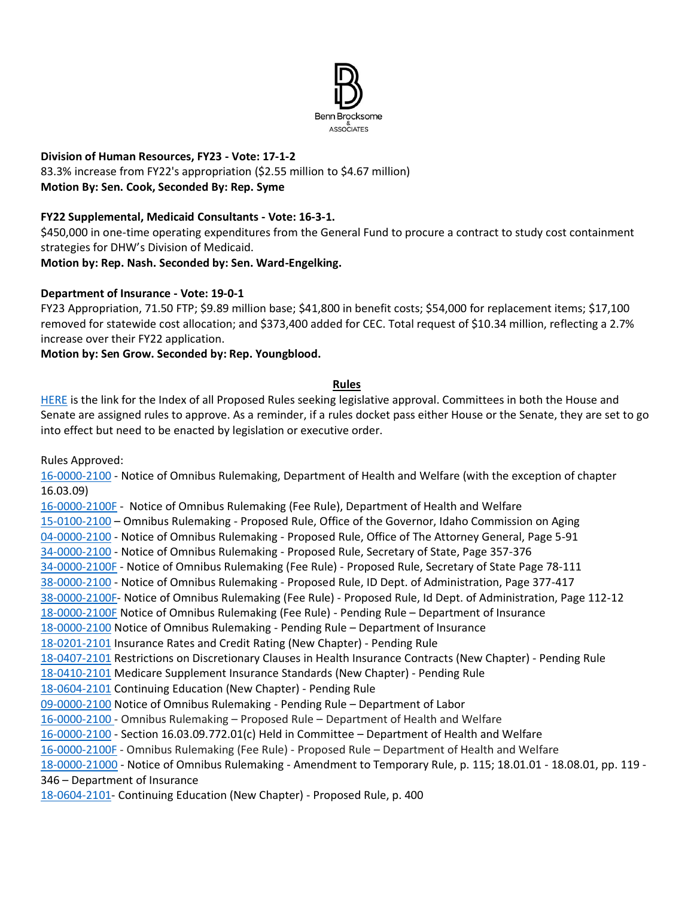

# **Division of Human Resources, FY23 - Vote: 17-1-2**

83.3% increase from FY22's appropriation (\$2.55 million to \$4.67 million) **Motion By: Sen. Cook, Seconded By: Rep. Syme**

## **FY22 Supplemental, Medicaid Consultants - Vote: 16-3-1.**

\$450,000 in one-time operating expenditures from the General Fund to procure a contract to study cost containment strategies for DHW's Division of Medicaid.

**Motion by: Rep. Nash. Seconded by: Sen. Ward-Engelking.** 

# **Department of Insurance - Vote: 19-0-1**

FY23 Appropriation, 71.50 FTP; \$9.89 million base; \$41,800 in benefit costs; \$54,000 for replacement items; \$17,100 removed for statewide cost allocation; and \$373,400 added for CEC. Total request of \$10.34 million, reflecting a 2.7% increase over their FY22 application.

## **Motion by: Sen Grow. Seconded by: Rep. Youngblood.**

### **Rules**

[HERE](https://adminrules.idaho.gov/rules/current/) is the link for the Index of all Proposed Rules seeking legislative approval. Committees in both the House and Senate are assigned rules to approve. As a reminder, if a rules docket pass either House or the Senate, they are set to go into effect but need to be enacted by legislation or executive order.

Rules Approved:

[16-0000-2100](https://adminrules.idaho.gov/legislative_books/2022/pending/22H_HealthWelfare.pdf#nameddest=G12.999219) - Notice of Omnibus Rulemaking, Department of Health and Welfare (with the exception of chapter 16.03.09)

[16-0000-2100F](https://adminrules.idaho.gov/legislative_books/2022/fee/22H_Fee_HW.pdf#nameddest=G4.999237) - Notice of Omnibus Rulemaking (Fee Rule), Department of Health and Welfare [15-0100-2100](https://adminrules.idaho.gov/legislative_books/2022/pending/22H_HealthWelfare.pdf#nameddest=G4.999158) – Omnibus Rulemaking - Proposed Rule, Office of the Governor, Idaho Commission on Aging [04-0000-2100](https://adminrules.idaho.gov/legislative_books/2022/pending/22S_StateAffs.pdf#nameddest=G4.999167) - Notice of Omnibus Rulemaking - Proposed Rule, Office of The Attorney General, Page 5-91 [34-0000-2100](https://adminrules.idaho.gov/legislative_books/2022/pending/22S_StateAffs.pdf#nameddest=G17.999161) - Notice of Omnibus Rulemaking - Proposed Rule, Secretary of State, Page 357-376 [34-0000-2100F](https://adminrules.idaho.gov/legislative_books/2022/fee/22S_Fee_StateAffs.pdf#nameddest=G15.999174) - Notice of Omnibus Rulemaking (Fee Rule) - Proposed Rule, Secretary of State Page 78-111 [38-0000-2100](https://adminrules.idaho.gov/legislative_books/2022/pending/22S_StateAffs.pdf#nameddest=G38.999154) - Notice of Omnibus Rulemaking - Proposed Rule, ID Dept. of Administration, Page 377-417 [38-0000-2100F-](https://adminrules.idaho.gov/legislative_books/2022/fee/22S_Fee_StateAffs.pdf#nameddest=G20.999308) Notice of Omnibus Rulemaking (Fee Rule) - Proposed Rule, Id Dept. of Administration, Page 112-12 [18-0000-2100F](https://adminrules.idaho.gov/legislative_books/2022/fee/22H_FEE_Business.pdf#nameddest=G6.999167) Notice of Omnibus Rulemaking (Fee Rule) - Pending Rule – Department of Insurance [18-0000-2100](https://adminrules.idaho.gov/legislative_books/2022/pending/22H_Business.pdf#nameddest=G7.999199) Notice of Omnibus Rulemaking - Pending Rule – Department of Insurance [18-0201-2101](https://adminrules.idaho.gov/legislative_books/2022/pending/22H_Business.pdf#nameddest=G40.999284) Insurance Rates and Credit Rating (New Chapter) - Pending Rule [18-0407-2101](https://adminrules.idaho.gov/legislative_books/2022/pending/22H_Business.pdf#nameddest=G44.999241) Restrictions on Discretionary Clauses in Health Insurance Contracts (New Chapter) - Pending Rule [18-0410-2101](https://adminrules.idaho.gov/legislative_books/2022/pending/22H_Business.pdf#nameddest=G44.999241) Medicare Supplement Insurance Standards (New Chapter) - Pending Rule [18-0604-2101](https://adminrules.idaho.gov/legislative_books/2022/pending/22H_Business.pdf#nameddest=G44.999241) Continuing Education (New Chapter) - Pending Rule [09-0000-2100](https://adminrules.idaho.gov/legislative_books/2022/pending/22H_CommHR.pdf#nameddest=G4.999194) Notice of Omnibus Rulemaking - Pending Rule – Department of Labor [16-0000-2100](https://adminrules.idaho.gov/legislative_books/2022/pending/22H_HealthWelfare.pdf#nameddest=G12.999219) - Omnibus Rulemaking – Proposed Rule – Department of Health and Welfare [16-0000-2100](https://adminrules.idaho.gov/legislative_books/2022/pending/22H_HealthWelfare.pdf#nameddest=G12.999219) - Section 16.03.09.772.01(c) Held in Committee – Department of Health and Welfare [16-0000-2100F](https://adminrules.idaho.gov/legislative_books/2022/fee/22S_Fee_HealthWelfare.pdf) - Omnibus Rulemaking (Fee Rule) - Proposed Rule – Department of Health and Welfare [18-0000-21000](https://adminrules.idaho.gov/legislative_books/2022/pending/22S_CommHR.pdf#nameddest=G19.999199) - Notice of Omnibus Rulemaking - Amendment to Temporary Rule, p. 115; 18.01.01 - 18.08.01, pp. 119 - 346 – Department of Insurance

[18-0604-2101-](https://adminrules.idaho.gov/legislative_books/2022/pending/22S_CommHR.pdf#nameddest=G58.999151) Continuing Education (New Chapter) - Proposed Rule, p. 400